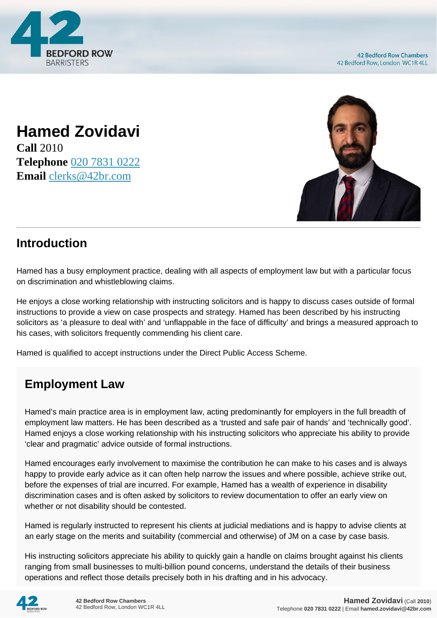

## **Hamed Zovidavi Call** 2010 **Telephone** [020 7831 0222](https://pdf.codeshore.co/_42br/tel:020 7831 0222) **Email** [clerks@42br.com](mailto:clerks@42br.com)



## **Introduction**

Hamed has a busy employment practice, dealing with all aspects of employment law but with a particular focus on discrimination and whistleblowing claims.

He enjoys a close working relationship with instructing solicitors and is happy to discuss cases outside of formal instructions to provide a view on case prospects and strategy. Hamed has been described by his instructing solicitors as 'a pleasure to deal with' and 'unflappable in the face of difficulty' and brings a measured approach to his cases, with solicitors frequently commending his client care.

Hamed is qualified to accept instructions under the Direct Public Access Scheme.

## **Employment Law**

Hamed's main practice area is in employment law, acting predominantly for employers in the full breadth of employment law matters. He has been described as a 'trusted and safe pair of hands' and 'technically good'. Hamed enjoys a close working relationship with his instructing solicitors who appreciate his ability to provide 'clear and pragmatic' advice outside of formal instructions.

Hamed encourages early involvement to maximise the contribution he can make to his cases and is always happy to provide early advice as it can often help narrow the issues and where possible, achieve strike out, before the expenses of trial are incurred. For example, Hamed has a wealth of experience in disability discrimination cases and is often asked by solicitors to review documentation to offer an early view on whether or not disability should be contested.

Hamed is regularly instructed to represent his clients at judicial mediations and is happy to advise clients at an early stage on the merits and suitability (commercial and otherwise) of JM on a case by case basis.

His instructing solicitors appreciate his ability to quickly gain a handle on claims brought against his clients ranging from small businesses to multi-billion pound concerns, understand the details of their business operations and reflect those details precisely both in his drafting and in his advocacy.

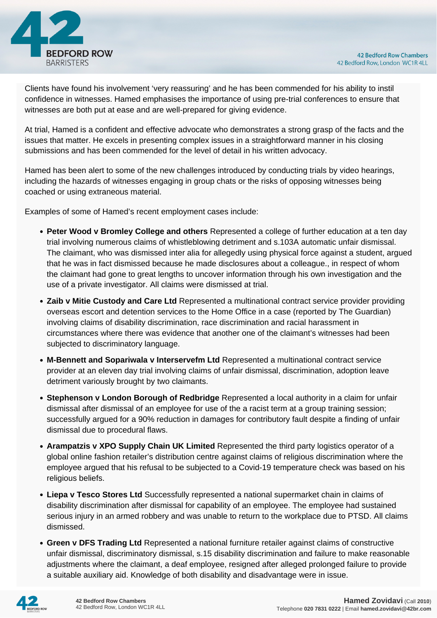

Clients have found his involvement 'very reassuring' and he has been commended for his ability to instil confidence in witnesses. Hamed emphasises the importance of using pre-trial conferences to ensure that witnesses are both put at ease and are well-prepared for giving evidence.

At trial, Hamed is a confident and effective advocate who demonstrates a strong grasp of the facts and the issues that matter. He excels in presenting complex issues in a straightforward manner in his closing submissions and has been commended for the level of detail in his written advocacy.

Hamed has been alert to some of the new challenges introduced by conducting trials by video hearings, including the hazards of witnesses engaging in group chats or the risks of opposing witnesses being coached or using extraneous material.

Examples of some of Hamed's recent employment cases include:

- **Peter Wood v Bromley College and others** Represented a college of further education at a ten day trial involving numerous claims of whistleblowing detriment and s.103A automatic unfair dismissal. The claimant, who was dismissed inter alia for allegedly using physical force against a student, argued that he was in fact dismissed because he made disclosures about a colleague., in respect of whom the claimant had gone to great lengths to uncover information through his own investigation and the use of a private investigator. All claims were dismissed at trial.
- **Zaib v Mitie Custody and Care Ltd** Represented a multinational contract service provider providing overseas escort and detention services to the Home Office in a case (reported by The Guardian) involving claims of disability discrimination, race discrimination and racial harassment in circumstances where there was evidence that another one of the claimant's witnesses had been subjected to discriminatory language.
- **M-Bennett and Sopariwala v Interservefm Ltd** Represented a multinational contract service provider at an eleven day trial involving claims of unfair dismissal, discrimination, adoption leave detriment variously brought by two claimants.
- **Stephenson v London Borough of Redbridge** Represented a local authority in a claim for unfair dismissal after dismissal of an employee for use of the a racist term at a group training session; successfully argued for a 90% reduction in damages for contributory fault despite a finding of unfair dismissal due to procedural flaws.
- **Arampatzis v XPO Supply Chain UK Limited** Represented the third party logistics operator of a global online fashion retailer's distribution centre against claims of religious discrimination where the employee argued that his refusal to be subjected to a Covid-19 temperature check was based on his religious beliefs.
- **Liepa v Tesco Stores Ltd** Successfully represented a national supermarket chain in claims of disability discrimination after dismissal for capability of an employee. The employee had sustained serious injury in an armed robbery and was unable to return to the workplace due to PTSD. All claims dismissed.
- **Green v DFS Trading Ltd** Represented a national furniture retailer against claims of constructive unfair dismissal, discriminatory dismissal, s.15 disability discrimination and failure to make reasonable adjustments where the claimant, a deaf employee, resigned after alleged prolonged failure to provide a suitable auxiliary aid. Knowledge of both disability and disadvantage were in issue.